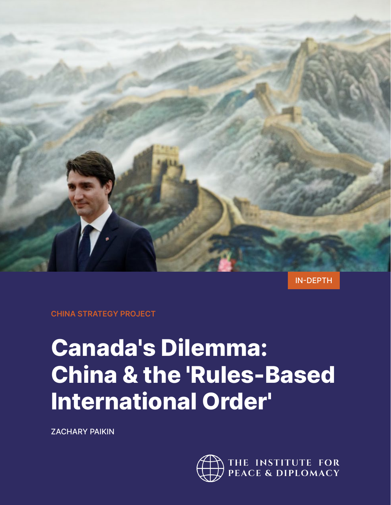

IN-DEPTH

**CHINA STRATEGY PROJECT**

# **Canada's Dilemma: China & the 'Rules-Based International Order'**

ZACHARY PAIKIN

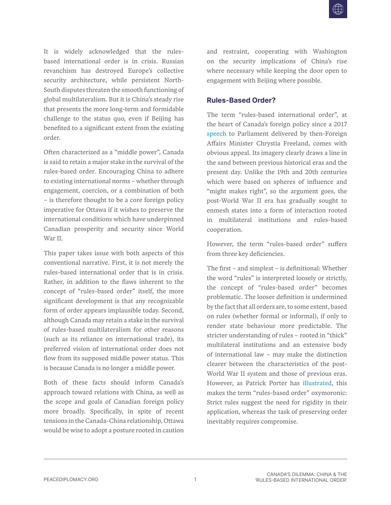It is widely acknowledged that the rulesbased international order is in crisis. Russian revanchism has destroyed Europe's collective security architecture, while persistent North-South disputes threaten the smooth functioning of global multilateralism. But it is China's steady rise that presents the more long-term and formidable challenge to the status quo, even if Beijing has benefited to a significant extent from the existing order.

Often characterized as a "middle power", Canada is said to retain a major stake in the survival of the rules-based order. Encouraging China to adhere to existing international norms – whether through engagement, coercion, or a combination of both – is therefore thought to be a core foreign policy imperative for Ottawa if it wishes to preserve the international conditions which have underpinned Canadian prosperity and security since World War II.

This paper takes issue with both aspects of this conventional narrative. First, it is not merely the rules-based international order that is in crisis. Rather, in addition to the flaws inherent to the concept of "rules-based order" itself, the more significant development is that any recognizable form of order appears implausible today. Second, although Canada may retain a stake in the survival of rules-based multilateralism for other reasons (such as its reliance on international trade), its preferred vision of international order does not flow from its supposed middle power status. This is because Canada is no longer a middle power.

Both of these facts should inform Canada's approach toward relations with China, as well as the scope and goals of Canadian foreign policy more broadly. Specifically, in spite of recent tensions in the Canada-China relationship, Ottawa would be wise to adopt a posture rooted in caution

and restraint, cooperating with Washington on the security implications of China's rise where necessary while keeping the door open to engagement with Beijing where possible.

### **Rules-Based Order?**

The term "rules-based international order", at the heart of Canada's foreign policy since a 2017 [speech](https://www.canada.ca/en/global-affairs/news/2017/06/address_by_ministerfreelandoncanadasforeignpolicypriorities.html) to Parliament delivered by then-Foreign Affairs Minister Chrystia Freeland, comes with obvious appeal. Its imagery clearly draws a line in the sand between previous historical eras and the present day. Unlike the 19th and 20th centuries which were based on spheres of influence and "might makes right", so the argument goes, the post-World War II era has gradually sought to enmesh states into a form of interaction rooted in multilateral institutions and rules-based cooperation.

However, the term "rules-based order" suffers from three key deficiencies.

The first – and simplest – is definitional: Whether the word "rules" is interpreted loosely or strictly, the concept of "rules-based order" becomes problematic. The looser definition is undermined by the fact that all orders are, to some extent, based on rules (whether formal or informal), if only to render state behaviour more predictable. The stricter understanding of rules – rooted in "thick" multilateral institutions and an extensive body of international law – may make the distinction clearer between the characteristics of the post-World War II system and those of previous eras. However, as Patrick Porter has [illustrated,](https://nationalinterest.org/blog/the-skeptics/sorry-folks-there-no-rules-based-world-order-17497) this makes the term "rules-based order" oxymoronic: Strict rules suggest the need for rigidity in their application, whereas the task of preserving order inevitably requires compromise.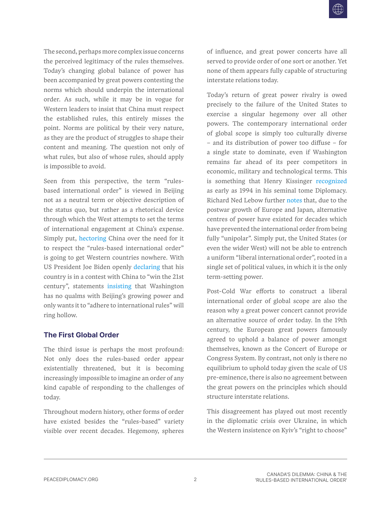The second, perhaps more complex issue concerns the perceived legitimacy of the rules themselves. Today's changing global balance of power has been accompanied by great powers contesting the norms which should underpin the international order. As such, while it may be in vogue for Western leaders to insist that China must respect the established rules, this entirely misses the point. Norms are political by their very nature, as they are the product of struggles to shape their content and meaning. The question not only of what rules, but also of whose rules, should apply is impossible to avoid.

Seen from this perspective, the term "rulesbased international order" is viewed in Beijing not as a neutral term or objective description of the status quo, but rather as a rhetorical device through which the West attempts to set the terms of international engagement at China's expense. Simply put, [hectoring](https://www.youtube.com/watch?v=pomcmrBJJSU) China over the need for it to respect the "rules-based international order" is going to get Western countries nowhere. With US President Joe Biden openly [declaring](https://asia.nikkei.com/Politics/International-relations/Biden-s-Asia-policy/Biden-We-are-in-a-competition-with-China-to-win-the-21st-century) that his country is in a contest with China to "win the 21st century", statements [insisting](https://www.reuters.com/world/asia-pacific/blinken-say-china-strategy-is-about-rules-based-order-not-new-cold-war-2022-05-26/) that Washington has no qualms with Beijing's growing power and only wants it to "adhere to international rules" will ring hollow.

#### **The First Global Order**

The third issue is perhaps the most profound: Not only does the rules-based order appear existentially threatened, but it is becoming increasingly impossible to imagine an order of any kind capable of responding to the challenges of today.

Throughout modern history, other forms of order have existed besides the "rules-based" variety visible over recent decades. Hegemony, spheres

of influence, and great power concerts have all served to provide order of one sort or another. Yet none of them appears fully capable of structuring interstate relations today.

Today's return of great power rivalry is owed precisely to the failure of the United States to exercise a singular hegemony over all other powers. The contemporary international order of global scope is simply too culturally diverse – and its distribution of power too diffuse – for a single state to dominate, even if Washington remains far ahead of its peer competitors in economic, military and technological terms. This is something that Henry Kissinger recognized as early as 1994 in his seminal tome Diplomacy. Richard Ned Lebow further [notes](https://www.cambridge.org/core/books/rise-and-fall-of-political-orders/70F897513C73A63704A86FEA0494C715) that, due to the postwar growth of Europe and Japan, alternative centres of power have existed for decades which have prevented the international order from being fully "unipolar". Simply put, the United States (or even the wider West) will not be able to entrench a uniform "liberal international order", rooted in a single set of political values, in which it is the only term-setting power.

Post-Cold War efforts to construct a liberal international order of global scope are also the reason why a great power concert cannot provide an alternative source of order today. In the 19th century, the European great powers famously agreed to uphold a balance of power amongst themselves, known as the Concert of Europe or Congress System. By contrast, not only is there no equilibrium to uphold today given the scale of US pre-eminence, there is also no agreement between the great powers on the principles which should structure interstate relations.

This disagreement has played out most recently in the diplomatic crisis over Ukraine, in which the Western insistence on Kyiv's "right to choose"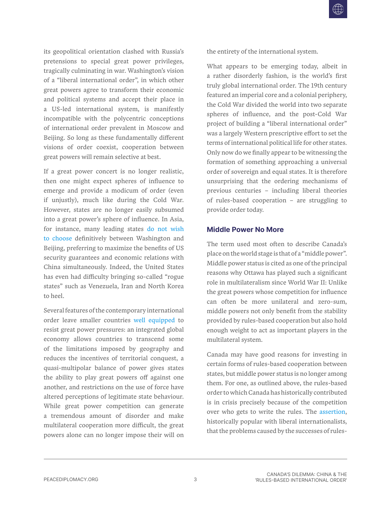its geopolitical orientation clashed with Russia's pretensions to special great power privileges, tragically culminating in war. Washington's vision of a "liberal international order", in which other great powers agree to transform their economic and political systems and accept their place in a US-led international system, is manifestly incompatible with the polycentric conceptions of international order prevalent in Moscow and Beijing. So long as these fundamentally different visions of order coexist, cooperation between great powers will remain selective at best.

If a great power concert is no longer realistic, then one might expect spheres of influence to emerge and provide a modicum of order (even if unjustly), much like during the Cold War. However, states are no longer easily subsumed into a great power's sphere of influence. In Asia, for instance, many leading states do not wish to choose definitively between Washington and Beijing, preferring to maximize the benefits of US security guarantees and economic relations with China simultaneously. Indeed, the United States has even had difficulty bringing so-called "rogue states" such as Venezuela, Iran and North Korea to heel.

Several features of the contemporary international order leave smaller countries [well equipped](https://www.cirsd.org/en/horizons/horizons-winter-2021-issue-no-18/masters-of-our-fate) to resist great power pressures: an integrated global economy allows countries to transcend some of the limitations imposed by geography and reduces the incentives of territorial conquest, a quasi-multipolar balance of power gives states the ability to play great powers off against one another, and restrictions on the use of force have altered perceptions of legitimate state behaviour. While great power competition can generate a tremendous amount of disorder and make multilateral cooperation more difficult, the great powers alone can no longer impose their will on the entirety of the international system.

What appears to be emerging today, albeit in a rather disorderly fashion, is the world's first truly global international order. The 19th century featured an imperial core and a colonial periphery, the Cold War divided the world into two separate spheres of influence, and the post-Cold War project of building a "liberal international order" was a largely Western prescriptive effort to set the terms of international political life for other states. Only now do we finally appear to be witnessing the formation of something approaching a universal order of sovereign and equal states. It is therefore unsurprising that the ordering mechanisms of previous centuries – including liberal theories of rules-based cooperation – are struggling to provide order today.

#### **Middle Power No More**

The term used most often to describe Canada's place on the world stage is that of a "middle power". Middle power status is cited as one of the principal reasons why Ottawa has played such a significant role in multilateralism since World War II: Unlike the great powers whose competition for influence can often be more unilateral and zero-sum, middle powers not only benefit from the stability provided by rules-based cooperation but also hold enough weight to act as important players in the multilateral system.

Canada may have good reasons for investing in certain forms of rules-based cooperation between states, but middle power status is no longer among them. For one, as outlined above, the rules-based order to which Canada has historically contributed is in crisis precisely because of the competition over who gets to write the rules. The [assertion,](https://link.springer.com/book/10.1057/9781137303769) historically popular with liberal internationalists, that the problems caused by the successes of rules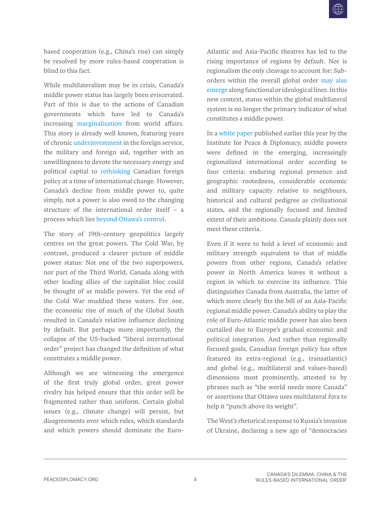based cooperation (e.g., China's rise) can simply be resolved by more rules-based cooperation is blind to this fact.

While multilateralism may be in crisis, Canada's middle power status has largely been eviscerated. Part of this is due to the actions of Canadian governments which have led to Canada's increasing [marginalization](https://www.pulaval.com/produit/marginalise-reflexions-sur-l-isolement-du-canada-dans-les-relations-internationales) from world affairs. This story is already well known, featuring years of chronic [underinvestment](https://www.penguinrandomhouse.ca/books/29354/while-canada-slept-by-andrew-cohen/9780771022760) in the foreign service, the military and foreign aid, together with an unwillingness to devote the necessary energy and political capital to [rethinking](https://ras-nsa.ca/whats-next-managing-traditional-and-new-threats-through-international-cooperation/) Canadian foreign policy at a time of international change. However, Canada's decline from middle power to, quite simply, not a power is also owed to the changing structure of the international order itself – a process which lies [beyond Ottawa's control.](https://peacediplomacy.org/2022/03/24/canadas-international-decline-runs-deeper-than-foreign-policy-decisions/)

The story of 19th-century geopolitics largely centres on the great powers. The Cold War, by contrast, produced a clearer picture of middle power status: Not one of the two superpowers, nor part of the Third World, Canada along with other leading allies of the capitalist bloc could be thought of as middle powers. Yet the end of the Cold War muddied these waters. For one, the economic rise of much of the Global South resulted in Canada's relative influence declining by default. But perhaps more importantly, the collapse of the US-backed "liberal international order" project has changed the definition of what constitutes a middle power.

Although we are witnessing the emergence of the first truly global order, great power rivalry has helped ensure that this order will be fragmented rather than uniform. Certain global issues (e.g., climate change) will persist, but disagreements over which rules, which standards and which powers should dominate the EuroAtlantic and Asia-Pacific theatres has led to the rising importance of regions by default. Nor is regionalism the only cleavage to account for: Suborders within the overall global order [may also](https://www.tandfonline.com/doi/full/10.1080/13523260.2016.1150053)  [emerge](https://www.tandfonline.com/doi/full/10.1080/13523260.2016.1150053) along functional or ideological lines. In this new context, status within the global multilateral system is no longer the primary indicator of what constitutes a middle power.

In a [white paper](https://peacediplomacy.org/2022/03/26/middle-powers-in-the-multipolar-world/) published earlier this year by the Institute for Peace & Diplomacy, middle powers were defined in the emerging, increasingly regionalized international order according to four criteria: enduring regional presence and geographic rootedness, considerable economic and military capacity relative to neighbours, historical and cultural pedigree as civilizational states, and the regionally focused and limited extent of their ambitions. Canada plainly does not meet these criteria.

Even if it were to hold a level of economic and military strength equivalent to that of middle powers from other regions, Canada's relative power in North America leaves it without a region in which to exercise its influence. This distinguishes Canada from Australia, the latter of which more clearly fits the bill of an Asia-Pacific regional middle power. Canada's ability to play the role of Euro-Atlantic middle power has also been curtailed due to Europe's gradual economic and political integration. And rather than regionally focused goals, Canadian foreign policy has often featured its extra-regional (e.g., transatlantic) and global (e.g., multilateral and values-based) dimensions most prominently, attested to by phrases such as "the world needs more Canada" or assertions that Ottawa uses multilateral fora to help it "punch above its weight".

The West's rhetorical response to Russia's invasion of Ukraine, declaring a new age of "democracies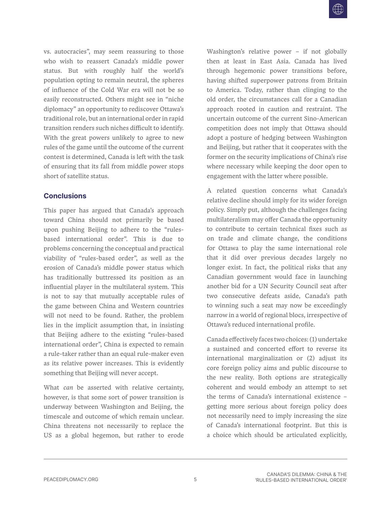vs. autocracies", may seem reassuring to those who wish to reassert Canada's middle power status. But with roughly half the world's population opting to remain neutral, the spheres of influence of the Cold War era will not be so easily reconstructed. Others might see in "niche diplomacy" an opportunity to rediscover Ottawa's traditional role, but an international order in rapid transition renders such niches difficult to identify. With the great powers unlikely to agree to new rules of the game until the outcome of the current contest is determined, Canada is left with the task of ensuring that its fall from middle power stops short of satellite status.

#### **Conclusions**

This paper has argued that Canada's approach toward China should not primarily be based upon pushing Beijing to adhere to the "rulesbased international order". This is due to problems concerning the conceptual and practical viability of "rules-based order", as well as the erosion of Canada's middle power status which has traditionally buttressed its position as an influential player in the multilateral system. This is not to say that mutually acceptable rules of the game between China and Western countries will not need to be found. Rather, the problem lies in the implicit assumption that, in insisting that Beijing adhere to the existing "rules-based international order", China is expected to remain a rule-taker rather than an equal rule-maker even as its relative power increases. This is evidently something that Beijing will never accept.

What *can* be asserted with relative certainty, however, is that some sort of power transition is underway between Washington and Beijing, the timescale and outcome of which remain unclear. China threatens not necessarily to replace the US as a global hegemon, but rather to erode Washington's relative power – if not globally then at least in East Asia. Canada has [lived](https://www.cigionline.org/articles/canadian-national-security-in-historical-perspective/)  through hegemonic power transitions before, having shifted superpower patrons from Britain to America. Today, rather than clinging to the old order, the circumstances call for a Canadian approach rooted in caution and restraint. The uncertain outcome of the current Sino-American competition does not imply that Ottawa should adopt a posture of hedging between Washington and Beijing, but rather that it cooperates with the former on the security implications of China's rise where necessary while keeping the door open to engagement with the latter where possible.

A related question concerns what Canada's relative decline should imply for its wider foreign policy. Simply put, although the challenges facing multilateralism may offer Canada the opportunity to contribute to certain technical fixes such as on trade and climate change, the conditions for Ottawa to play the same international role that it did over previous decades largely no longer exist. In fact, the political risks that any Canadian government would face in launching another bid for a UN Security Council seat after two consecutive defeats aside, Canada's path to winning such a seat may now be exceedingly narrow in a world of regional blocs, irrespective of Ottawa's reduced international profile.

Canada effectively faces two choices: (1) undertake a sustained and concerted effort to reverse its international marginalization or (2) adjust its core foreign policy aims and public discourse to the new reality. Both options are strategically coherent and would embody an attempt to set the terms of Canada's international existence – getting more serious about foreign policy does not necessarily need to imply increasing the size of Canada's international footprint. But this is a choice which should be articulated explicitly,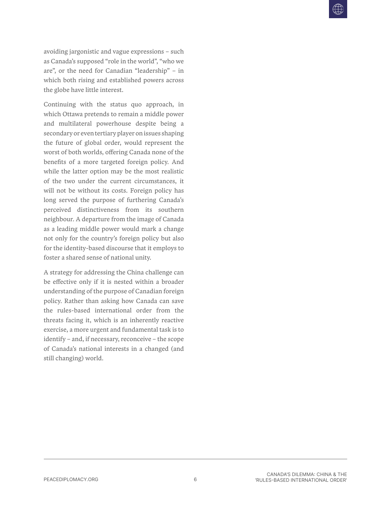avoiding jargonistic and vague expressions – such as Canada's supposed "role in the world", "who we are", or the need for Canadian "leadership" – in which both rising and established powers across the globe have little interest.

Continuing with the status quo approach, in which Ottawa pretends to remain a middle power and multilateral powerhouse despite being a secondary or even tertiary player on issues shaping the future of global order, would represent the worst of both worlds, offering Canada none of the benefits of a more targeted foreign policy. And while the latter option may be the most realistic of the two under the current circumstances, it will not be without its costs. Foreign policy has long served the purpose of furthering Canada's perceived distinctiveness from its southern neighbour. A departure from the image of Canada as a leading middle power would mark a change not only for the country's foreign policy but also for the identity-based discourse that it employs to foster a shared sense of national unity.

A strategy for addressing the China challenge can be effective only if it is nested within a broader understanding of the purpose of Canadian foreign policy. Rather than asking how Canada can save the rules-based international order from the threats facing it, which is an inherently reactive exercise, a more urgent and fundamental task is to identify – and, if necessary, reconceive – the scope of Canada's national interests in a changed (and still changing) world.